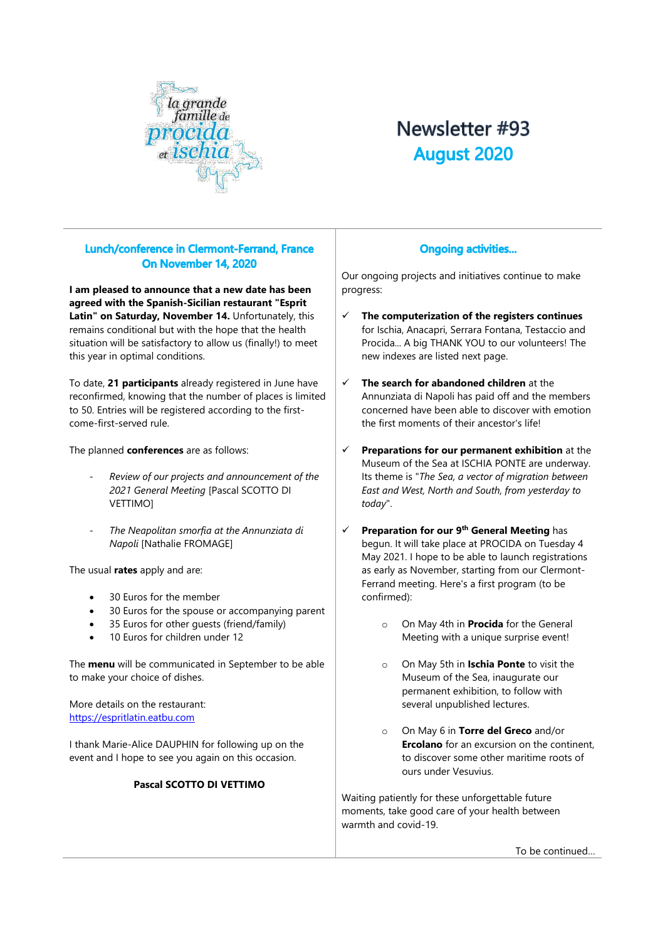

# Newsletter #93 **August 2020**

# Lunch/conference in Clermont-Ferrand, France On November 14, 2020

**I am pleased to announce that a new date has been agreed with the Spanish-Sicilian restaurant "Esprit Latin" on Saturday, November 14.** Unfortunately, this remains conditional but with the hope that the health situation will be satisfactory to allow us (finally!) to meet this year in optimal conditions.

To date, **21 participants** already registered in June have reconfirmed, knowing that the number of places is limited to 50. Entries will be registered according to the firstcome-first-served rule.

The planned **conferences** are as follows:

- *Review of our projects and announcement of the 2021 General Meeting* [Pascal SCOTTO DI VETTIMO]
- *The Neapolitan smorfia at the Annunziata di Napoli* [Nathalie FROMAGE]

The usual **rates** apply and are:

- 30 Euros for the member
- 30 Euros for the spouse or accompanying parent
- 35 Euros for other guests (friend/family)
- 10 Euros for children under 12

The **menu** will be communicated in September to be able to make your choice of dishes.

More details on the restaurant: [https://espritlatin.eatbu.com](https://espritlatin.eatbu.com/)

I thank Marie-Alice DAUPHIN for following up on the event and I hope to see you again on this occasion.

#### **Pascal SCOTTO DI VETTIMO**

#### **Ongoing activities...**

Our ongoing projects and initiatives continue to make progress:

- ✓ **The computerization of the registers continues** for Ischia, Anacapri, Serrara Fontana, Testaccio and Procida... A big THANK YOU to our volunteers! The new indexes are listed next page.
- **The search for abandoned children** at the Annunziata di Napoli has paid off and the members concerned have been able to discover with emotion the first moments of their ancestor's life!
- **Preparations for our permanent exhibition** at the Museum of the Sea at ISCHIA PONTE are underway. Its theme is "*The Sea, a vector of migration between East and West, North and South, from yesterday to today*".
- ✓ **Preparation for our 9th General Meeting** has begun. It will take place at PROCIDA on Tuesday 4 May 2021. I hope to be able to launch registrations as early as November, starting from our Clermont-Ferrand meeting. Here's a first program (to be confirmed):
	- o On May 4th in **Procida** for the General Meeting with a unique surprise event!
	- o On May 5th in **Ischia Ponte** to visit the Museum of the Sea, inaugurate our permanent exhibition, to follow with several unpublished lectures.
	- o On May 6 in **Torre del Greco** and/or **Ercolano** for an excursion on the continent. to discover some other maritime roots of ours under Vesuvius.

Waiting patiently for these unforgettable future moments, take good care of your health between warmth and covid-19.

To be continued…